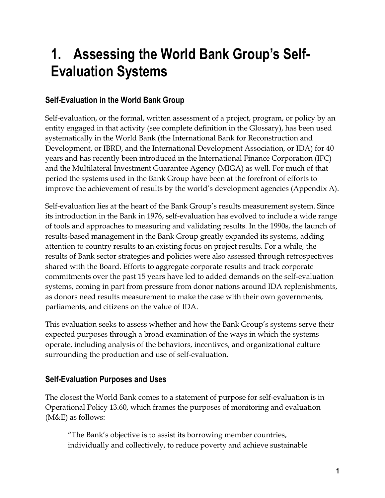# **1. Assessing the World Bank Group's Self-Evaluation Systems**

# **Self-Evaluation in the World Bank Group**

Self-evaluation, or the formal, written assessment of a project, program, or policy by an entity engaged in that activity (see complete definition in the Glossary), has been used systematically in the World Bank (the International Bank for Reconstruction and Development, or IBRD, and the International Development Association, or IDA) for 40 years and has recently been introduced in the International Finance Corporation (IFC) and the Multilateral Investment Guarantee Agency (MIGA) as well. For much of that period the systems used in the Bank Group have been at the forefront of efforts to improve the achievement of results by the world's development agencies (Appendix A).

Self-evaluation lies at the heart of the Bank Group's results measurement system. Since its introduction in the Bank in 1976, self-evaluation has evolved to include a wide range of tools and approaches to measuring and validating results. In the 1990s, the launch of results-based management in the Bank Group greatly expanded its systems, adding attention to country results to an existing focus on project results. For a while, the results of Bank sector strategies and policies were also assessed through retrospectives shared with the Board. Efforts to aggregate corporate results and track corporate commitments over the past 15 years have led to added demands on the self-evaluation systems, coming in part from pressure from donor nations around IDA replenishments, as donors need results measurement to make the case with their own governments, parliaments, and citizens on the value of IDA.

This evaluation seeks to assess whether and how the Bank Group's systems serve their expected purposes through a broad examination of the ways in which the systems operate, including analysis of the behaviors, incentives, and organizational culture surrounding the production and use of self-evaluation.

## **Self-Evaluation Purposes and Uses**

The closest the World Bank comes to a statement of purpose for self-evaluation is in Operational Policy 13.60, which frames the purposes of monitoring and evaluation (M&E) as follows:

"The Bank's objective is to assist its borrowing member countries, individually and collectively, to reduce poverty and achieve sustainable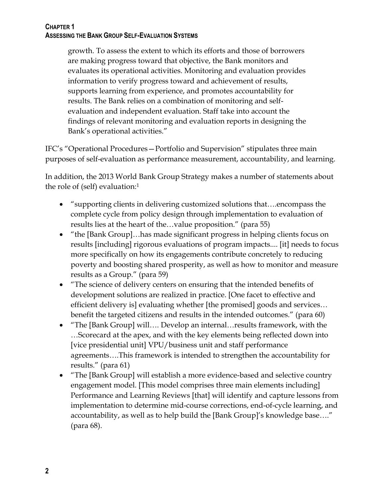growth. To assess the extent to which its efforts and those of borrowers are making progress toward that objective, the Bank monitors and evaluates its operational activities. Monitoring and evaluation provides information to verify progress toward and achievement of results, supports learning from experience, and promotes accountability for results. The Bank relies on a combination of monitoring and selfevaluation and independent evaluation. Staff take into account the findings of relevant monitoring and evaluation reports in designing the Bank's operational activities."

IFC's "Operational Procedures—Portfolio and Supervision" stipulates three main purposes of self-evaluation as performance measurement, accountability, and learning.

In addition, the 2013 World Bank Group Strategy makes a number of statements about the role of (self) evaluation:<sup>1</sup>

- "supporting clients in delivering customized solutions that….encompass the complete cycle from policy design through implementation to evaluation of results lies at the heart of the…value proposition." (para 55)
- "the [Bank Group]…has made significant progress in helping clients focus on results [including] rigorous evaluations of program impacts.... [it] needs to focus more specifically on how its engagements contribute concretely to reducing poverty and boosting shared prosperity, as well as how to monitor and measure results as a Group." (para 59)
- "The science of delivery centers on ensuring that the intended benefits of development solutions are realized in practice. [One facet to effective and efficient delivery is] evaluating whether [the promised] goods and services… benefit the targeted citizens and results in the intended outcomes." (para 60)
- "The [Bank Group] will…. Develop an internal…results framework, with the …Scorecard at the apex, and with the key elements being reflected down into [vice presidential unit] VPU/business unit and staff performance agreements….This framework is intended to strengthen the accountability for results." (para 61)
- "The [Bank Group] will establish a more evidence-based and selective country engagement model. [This model comprises three main elements including] Performance and Learning Reviews [that] will identify and capture lessons from implementation to determine mid-course corrections, end-of-cycle learning, and accountability, as well as to help build the [Bank Group]'s knowledge base…." (para 68).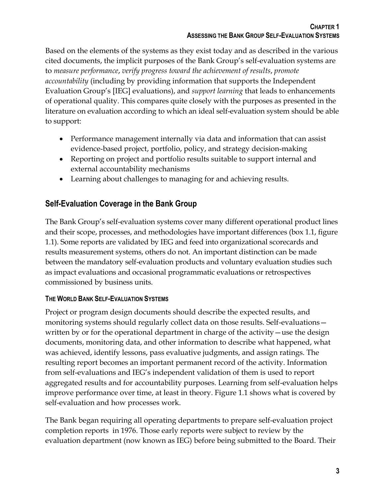Based on the elements of the systems as they exist today and as described in the various cited documents, the implicit purposes of the Bank Group's self-evaluation systems are to *measure performance*, *verify progress toward the achievement of results*, *promote accountability* (including by providing information that supports the Independent Evaluation Group's [IEG] evaluations), and *support learning* that leads to enhancements of operational quality. This compares quite closely with the purposes as presented in the literature on evaluation according to which an ideal self-evaluation system should be able to support:

- Performance management internally via data and information that can assist evidence-based project, portfolio, policy, and strategy decision-making
- Reporting on project and portfolio results suitable to support internal and external accountability mechanisms
- Learning about challenges to managing for and achieving results.

# **Self-Evaluation Coverage in the Bank Group**

The Bank Group's self-evaluation systems cover many different operational product lines and their scope, processes, and methodologies have important differences (box 1.1, figure 1.1). Some reports are validated by IEG and feed into organizational scorecards and results measurement systems, others do not. An important distinction can be made between the mandatory self-evaluation products and voluntary evaluation studies such as impact evaluations and occasional programmatic evaluations or retrospectives commissioned by business units.

## **THE WORLD BANK SELF-EVALUATION SYSTEMS**

Project or program design documents should describe the expected results, and monitoring systems should regularly collect data on those results. Self-evaluations written by or for the operational department in charge of the activity—use the design documents, monitoring data, and other information to describe what happened, what was achieved, identify lessons, pass evaluative judgments, and assign ratings. The resulting report becomes an important permanent record of the activity. Information from self-evaluations and IEG's independent validation of them is used to report aggregated results and for accountability purposes. Learning from self-evaluation helps improve performance over time, at least in theory. Figure 1.1 shows what is covered by self-evaluation and how processes work.

The Bank began requiring all operating departments to prepare self-evaluation project completion reports in 1976. Those early reports were subject to review by the evaluation department (now known as IEG) before being submitted to the Board. Their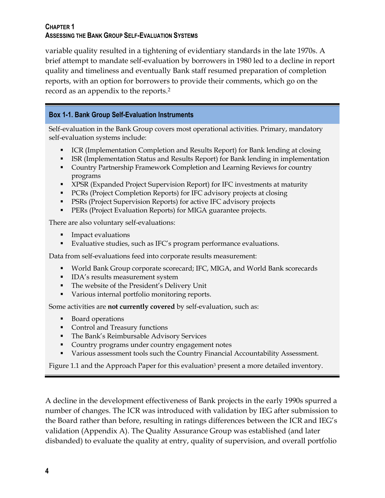variable quality resulted in a tightening of evidentiary standards in the late 1970s. A brief attempt to mandate self-evaluation by borrowers in 1980 led to a decline in report quality and timeliness and eventually Bank staff resumed preparation of completion reports, with an option for borrowers to provide their comments, which go on the record as an appendix to the reports. 2

### **Box 1-1. Bank Group Self-Evaluation Instruments**

Self-evaluation in the Bank Group covers most operational activities. Primary, mandatory self-evaluation systems include:

- ICR (Implementation Completion and Results Report) for Bank lending at closing
- ISR (Implementation Status and Results Report) for Bank lending in implementation
- Country Partnership Framework Completion and Learning Reviews for country programs
- XPSR (Expanded Project Supervision Report) for IFC investments at maturity
- **PCRs (Project Completion Reports) for IFC advisory projects at closing**
- **PSRs (Project Supervision Reports) for active IFC advisory projects**
- **PERs (Project Evaluation Reports) for MIGA guarantee projects.**

There are also voluntary self-evaluations:

- **Impact evaluations**
- Evaluative studies, such as IFC's program performance evaluations.

Data from self-evaluations feed into corporate results measurement:

- World Bank Group corporate scorecard; IFC, MIGA, and World Bank scorecards
- **IDA's results measurement system**
- The website of the President's Delivery Unit
- Various internal portfolio monitoring reports.

Some activities are **not currently covered** by self-evaluation, such as:

- Board operations
- **Control and Treasury functions**
- **The Bank's Reimbursable Advisory Services**
- **Country programs under country engagement notes**
- Various assessment tools such the Country Financial Accountability Assessment.

Figure 1.1 and the Approach Paper for this evaluation<sup>3</sup> present a more detailed inventory.

A decline in the development effectiveness of Bank projects in the early 1990s spurred a number of changes. The ICR was introduced with validation by IEG after submission to the Board rather than before, resulting in ratings differences between the ICR and IEG's validation (Appendix A). The Quality Assurance Group was established (and later disbanded) to evaluate the quality at entry, quality of supervision, and overall portfolio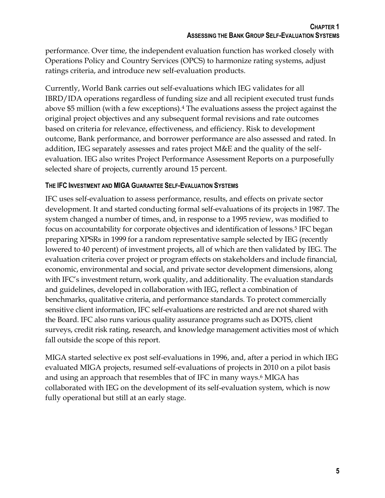performance. Over time, the independent evaluation function has worked closely with Operations Policy and Country Services (OPCS) to harmonize rating systems, adjust ratings criteria, and introduce new self-evaluation products.

Currently, World Bank carries out self-evaluations which IEG validates for all IBRD/IDA operations regardless of funding size and all recipient executed trust funds above \$5 million (with a few exceptions).<sup>4</sup> The evaluations assess the project against the original project objectives and any subsequent formal revisions and rate outcomes based on criteria for relevance, effectiveness, and efficiency. Risk to development outcome, Bank performance, and borrower performance are also assessed and rated. In addition, IEG separately assesses and rates project M&E and the quality of the selfevaluation. IEG also writes Project Performance Assessment Reports on a purposefully selected share of projects, currently around 15 percent.

## **THE IFC INVESTMENT AND MIGA GUARANTEE SELF-EVALUATION SYSTEMS**

IFC uses self-evaluation to assess performance, results, and effects on private sector development. It and started conducting formal self-evaluations of its projects in 1987. The system changed a number of times, and, in response to a 1995 review, was modified to focus on accountability for corporate objectives and identification of lessons.<sup>5</sup> IFC began preparing XPSRs in 1999 for a random representative sample selected by IEG (recently lowered to 40 percent) of investment projects, all of which are then validated by IEG. The evaluation criteria cover project or program effects on stakeholders and include financial, economic, environmental and social, and private sector development dimensions, along with IFC's investment return, work quality, and additionality. The evaluation standards and guidelines, developed in collaboration with IEG, reflect a combination of benchmarks, qualitative criteria, and performance standards. To protect commercially sensitive client information, IFC self-evaluations are restricted and are not shared with the Board. IFC also runs various quality assurance programs such as DOTS, client surveys, credit risk rating, research, and knowledge management activities most of which fall outside the scope of this report.

MIGA started selective ex post self-evaluations in 1996, and, after a period in which IEG evaluated MIGA projects, resumed self-evaluations of projects in 2010 on a pilot basis and using an approach that resembles that of IFC in many ways.<sup>6</sup> MIGA has collaborated with IEG on the development of its self-evaluation system, which is now fully operational but still at an early stage.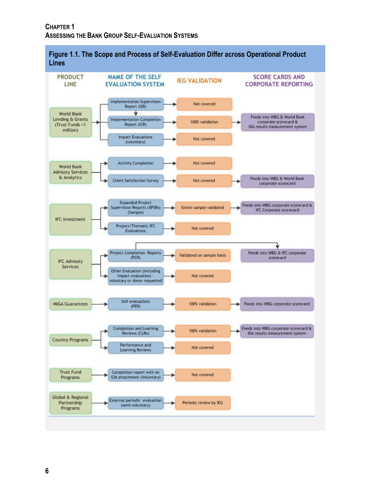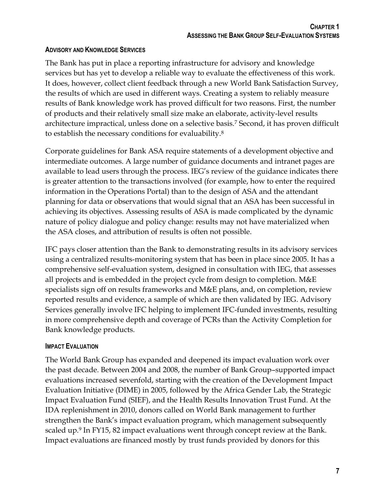### **ADVISORY AND KNOWLEDGE SERVICES**

The Bank has put in place a reporting infrastructure for advisory and knowledge services but has yet to develop a reliable way to evaluate the effectiveness of this work. It does, however, collect client feedback through a new World Bank Satisfaction Survey, the results of which are used in different ways. Creating a system to reliably measure results of Bank knowledge work has proved difficult for two reasons. First, the number of products and their relatively small size make an elaborate, activity-level results architecture impractical, unless done on a selective basis.<sup>7</sup> Second, it has proven difficult to establish the necessary conditions for evaluability.<sup>8</sup>

Corporate guidelines for Bank ASA require statements of a development objective and intermediate outcomes. A large number of guidance documents and intranet pages are available to lead users through the process. IEG's review of the guidance indicates there is greater attention to the transactions involved (for example, how to enter the required information in the Operations Portal) than to the design of ASA and the attendant planning for data or observations that would signal that an ASA has been successful in achieving its objectives. Assessing results of ASA is made complicated by the dynamic nature of policy dialogue and policy change: results may not have materialized when the ASA closes, and attribution of results is often not possible.

IFC pays closer attention than the Bank to demonstrating results in its advisory services using a centralized results-monitoring system that has been in place since 2005. It has a comprehensive self-evaluation system, designed in consultation with IEG, that assesses all projects and is embedded in the project cycle from design to completion. M&E specialists sign off on results frameworks and M&E plans, and, on completion, review reported results and evidence, a sample of which are then validated by IEG. Advisory Services generally involve IFC helping to implement IFC-funded investments, resulting in more comprehensive depth and coverage of PCRs than the Activity Completion for Bank knowledge products.

#### **IMPACT EVALUATION**

The World Bank Group has expanded and deepened its impact evaluation work over the past decade. Between 2004 and 2008, the number of Bank Group–supported impact evaluations increased sevenfold, starting with the creation of the Development Impact Evaluation Initiative (DIME) in 2005, followed by the Africa Gender Lab, the Strategic Impact Evaluation Fund (SIEF), and the Health Results Innovation Trust Fund. At the IDA replenishment in 2010, donors called on World Bank management to further strengthen the Bank's impact evaluation program, which management subsequently scaled up. <sup>9</sup> In FY15, 82 impact evaluations went through concept review at the Bank. Impact evaluations are financed mostly by trust funds provided by donors for this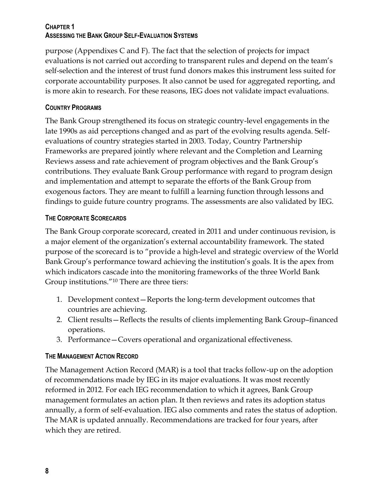purpose (Appendixes C and F). The fact that the selection of projects for impact evaluations is not carried out according to transparent rules and depend on the team's self-selection and the interest of trust fund donors makes this instrument less suited for corporate accountability purposes. It also cannot be used for aggregated reporting, and is more akin to research. For these reasons, IEG does not validate impact evaluations.

## **COUNTRY PROGRAMS**

The Bank Group strengthened its focus on strategic country-level engagements in the late 1990s as aid perceptions changed and as part of the evolving results agenda. Selfevaluations of country strategies started in 2003. Today, Country Partnership Frameworks are prepared jointly where relevant and the Completion and Learning Reviews assess and rate achievement of program objectives and the Bank Group's contributions. They evaluate Bank Group performance with regard to program design and implementation and attempt to separate the efforts of the Bank Group from exogenous factors. They are meant to fulfill a learning function through lessons and findings to guide future country programs. The assessments are also validated by IEG.

## **THE CORPORATE SCORECARDS**

The Bank Group corporate scorecard, created in 2011 and under continuous revision, is a major element of the organization's external accountability framework. The stated purpose of the scorecard is to "provide a high-level and strategic overview of the World Bank Group's performance toward achieving the institution's goals. It is the apex from which indicators cascade into the monitoring frameworks of the three World Bank Group institutions."<sup>10</sup> There are three tiers:

- 1. Development context—Reports the long-term development outcomes that countries are achieving.
- 2. Client results—Reflects the results of clients implementing Bank Group–financed operations.
- 3. Performance—Covers operational and organizational effectiveness.

## **THE MANAGEMENT ACTION RECORD**

The Management Action Record (MAR) is a tool that tracks follow-up on the adoption of recommendations made by IEG in its major evaluations. It was most recently reformed in 2012. For each IEG recommendation to which it agrees, Bank Group management formulates an action plan. It then reviews and rates its adoption status annually, a form of self-evaluation. IEG also comments and rates the status of adoption. The MAR is updated annually. Recommendations are tracked for four years, after which they are retired.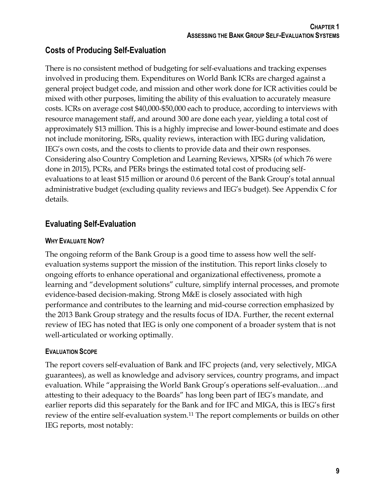## **Costs of Producing Self-Evaluation**

There is no consistent method of budgeting for self-evaluations and tracking expenses involved in producing them. Expenditures on World Bank ICRs are charged against a general project budget code, and mission and other work done for ICR activities could be mixed with other purposes, limiting the ability of this evaluation to accurately measure costs. ICRs on average cost \$40,000-\$50,000 each to produce, according to interviews with resource management staff, and around 300 are done each year, yielding a total cost of approximately \$13 million. This is a highly imprecise and lower-bound estimate and does not include monitoring, ISRs, quality reviews, interaction with IEG during validation, IEG's own costs, and the costs to clients to provide data and their own responses. Considering also Country Completion and Learning Reviews, XPSRs (of which 76 were done in 2015), PCRs, and PERs brings the estimated total cost of producing selfevaluations to at least \$15 million or around 0.6 percent of the Bank Group's total annual administrative budget (excluding quality reviews and IEG's budget). See Appendix C for details.

# **Evaluating Self-Evaluation**

## **WHY EVALUATE NOW?**

The ongoing reform of the Bank Group is a good time to assess how well the selfevaluation systems support the mission of the institution. This report links closely to ongoing efforts to enhance operational and organizational effectiveness, promote a learning and "development solutions" culture, simplify internal processes, and promote evidence-based decision-making. Strong M&E is closely associated with high performance and contributes to the learning and mid-course correction emphasized by the 2013 Bank Group strategy and the results focus of IDA. Further, the recent external review of IEG has noted that IEG is only one component of a broader system that is not well-articulated or working optimally.

## **EVALUATION SCOPE**

The report covers self-evaluation of Bank and IFC projects (and, very selectively, MIGA guarantees), as well as knowledge and advisory services, country programs, and impact evaluation. While "appraising the World Bank Group's operations self-evaluation…and attesting to their adequacy to the Boards" has long been part of IEG's mandate, and earlier reports did this separately for the Bank and for IFC and MIGA, this is IEG's first review of the entire self-evaluation system.<sup>11</sup> The report complements or builds on other IEG reports, most notably: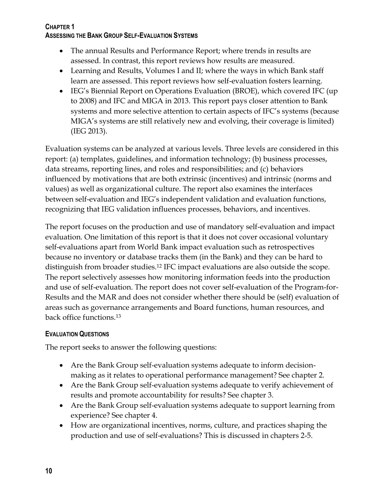- The annual Results and Performance Report; where trends in results are assessed. In contrast, this report reviews how results are measured.
- Learning and Results, Volumes I and II; where the ways in which Bank staff learn are assessed. This report reviews how self-evaluation fosters learning.
- IEG's Biennial Report on Operations Evaluation (BROE), which covered IFC (up to 2008) and IFC and MIGA in 2013. This report pays closer attention to Bank systems and more selective attention to certain aspects of IFC's systems (because MIGA's systems are still relatively new and evolving, their coverage is limited) (IEG 2013).

Evaluation systems can be analyzed at various levels. Three levels are considered in this report: (a) templates, guidelines, and information technology; (b) business processes, data streams, reporting lines, and roles and responsibilities; and (c) behaviors influenced by motivations that are both extrinsic (incentives) and intrinsic (norms and values) as well as organizational culture. The report also examines the interfaces between self-evaluation and IEG's independent validation and evaluation functions, recognizing that IEG validation influences processes, behaviors, and incentives.

The report focuses on the production and use of mandatory self-evaluation and impact evaluation. One limitation of this report is that it does not cover occasional voluntary self-evaluations apart from World Bank impact evaluation such as retrospectives because no inventory or database tracks them (in the Bank) and they can be hard to distinguish from broader studies.<sup>12</sup> IFC impact evaluations are also outside the scope. The report selectively assesses how monitoring information feeds into the production and use of self-evaluation. The report does not cover self-evaluation of the Program-for-Results and the MAR and does not consider whether there should be (self) evaluation of areas such as governance arrangements and Board functions, human resources, and back office functions.<sup>13</sup>

## **EVALUATION QUESTIONS**

The report seeks to answer the following questions:

- Are the Bank Group self-evaluation systems adequate to inform decisionmaking as it relates to operational performance management? See chapter 2.
- Are the Bank Group self-evaluation systems adequate to verify achievement of results and promote accountability for results? See chapter 3.
- Are the Bank Group self-evaluation systems adequate to support learning from experience? See chapter 4.
- How are organizational incentives, norms, culture, and practices shaping the production and use of self-evaluations? This is discussed in chapters 2-5.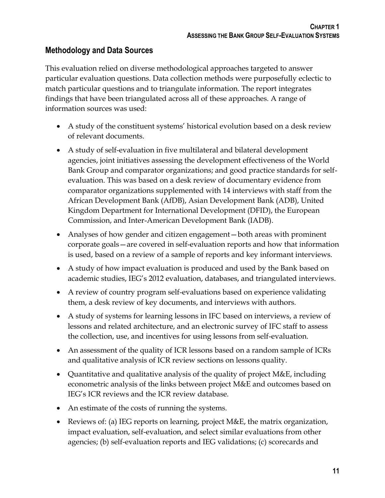## **Methodology and Data Sources**

This evaluation relied on diverse methodological approaches targeted to answer particular evaluation questions. Data collection methods were purposefully eclectic to match particular questions and to triangulate information. The report integrates findings that have been triangulated across all of these approaches. A range of information sources was used:

- A study of the constituent systems' historical evolution based on a desk review of relevant documents.
- A study of self-evaluation in five multilateral and bilateral development agencies, joint initiatives assessing the development effectiveness of the World Bank Group and comparator organizations; and good practice standards for selfevaluation. This was based on a desk review of documentary evidence from comparator organizations supplemented with 14 interviews with staff from the African Development Bank (AfDB), Asian Development Bank (ADB), United Kingdom Department for International Development (DFID), the European Commission, and Inter-American Development Bank (IADB).
- Analyses of how gender and citizen engagement—both areas with prominent corporate goals—are covered in self-evaluation reports and how that information is used, based on a review of a sample of reports and key informant interviews.
- A study of how impact evaluation is produced and used by the Bank based on academic studies, IEG's 2012 evaluation, databases, and triangulated interviews.
- A review of country program self-evaluations based on experience validating them, a desk review of key documents, and interviews with authors.
- A study of systems for learning lessons in IFC based on interviews, a review of lessons and related architecture, and an electronic survey of IFC staff to assess the collection, use, and incentives for using lessons from self-evaluation.
- An assessment of the quality of ICR lessons based on a random sample of ICRs and qualitative analysis of ICR review sections on lessons quality.
- Quantitative and qualitative analysis of the quality of project M&E, including econometric analysis of the links between project M&E and outcomes based on IEG's ICR reviews and the ICR review database.
- An estimate of the costs of running the systems.
- Reviews of: (a) IEG reports on learning, project M&E, the matrix organization, impact evaluation, self-evaluation, and select similar evaluations from other agencies; (b) self-evaluation reports and IEG validations; (c) scorecards and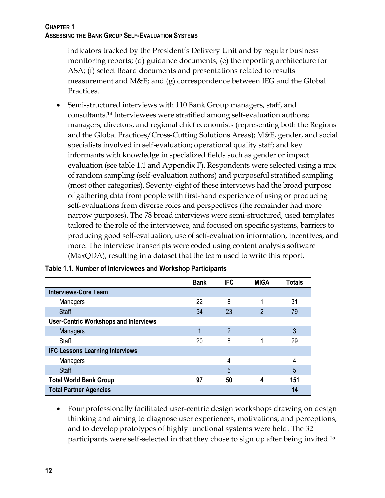indicators tracked by the President's Delivery Unit and by regular business monitoring reports; (d) guidance documents; (e) the reporting architecture for ASA; (f) select Board documents and presentations related to results measurement and M&E; and (g) correspondence between IEG and the Global Practices.

 Semi-structured interviews with 110 Bank Group managers, staff, and consultants.<sup>14</sup> Interviewees were stratified among self-evaluation authors; managers, directors, and regional chief economists (representing both the Regions and the Global Practices/Cross-Cutting Solutions Areas); M&E, gender, and social specialists involved in self-evaluation; operational quality staff; and key informants with knowledge in specialized fields such as gender or impact evaluation (see table 1.1 and Appendix F). Respondents were selected using a mix of random sampling (self-evaluation authors) and purposeful stratified sampling (most other categories). Seventy-eight of these interviews had the broad purpose of gathering data from people with first-hand experience of using or producing self-evaluations from diverse roles and perspectives (the remainder had more narrow purposes). The 78 broad interviews were semi-structured, used templates tailored to the role of the interviewee, and focused on specific systems, barriers to producing good self-evaluation, use of self-evaluation information, incentives, and more. The interview transcripts were coded using content analysis software (MaxQDA), resulting in a dataset that the team used to write this report.

|                                              | <b>Bank</b> | <b>IFC</b>     | <b>MIGA</b> | <b>Totals</b> |
|----------------------------------------------|-------------|----------------|-------------|---------------|
| <b>Interviews-Core Team</b>                  |             |                |             |               |
| Managers                                     | 22          | 8              | 1           | 31            |
| <b>Staff</b>                                 | 54          | 23             | 2           | 79            |
| <b>User-Centric Workshops and Interviews</b> |             |                |             |               |
| <b>Managers</b>                              |             | $\overline{2}$ |             | 3             |
| <b>Staff</b>                                 | 20          | 8              |             | 29            |
| <b>IFC Lessons Learning Interviews</b>       |             |                |             |               |
| Managers                                     |             | 4              |             | 4             |
| <b>Staff</b>                                 |             | 5              |             | 5             |
| <b>Total World Bank Group</b>                | 97          | 50             | 4           | 151           |
| <b>Total Partner Agencies</b>                |             |                |             | 14            |

#### **Table 1.1. Number of Interviewees and Workshop Participants**

 Four professionally facilitated user-centric design workshops drawing on design thinking and aiming to diagnose user experiences, motivations, and perceptions, and to develop prototypes of highly functional systems were held. The 32 participants were self-selected in that they chose to sign up after being invited. 15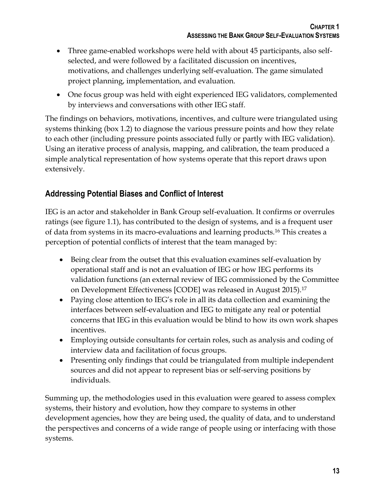- Three game-enabled workshops were held with about 45 participants, also selfselected, and were followed by a facilitated discussion on incentives, motivations, and challenges underlying self-evaluation. The game simulated project planning, implementation, and evaluation.
- One focus group was held with eight experienced IEG validators, complemented by interviews and conversations with other IEG staff.

The findings on behaviors, motivations, incentives, and culture were triangulated using systems thinking (box 1.2) to diagnose the various pressure points and how they relate to each other (including pressure points associated fully or partly with IEG validation). Using an iterative process of analysis, mapping, and calibration, the team produced a simple analytical representation of how systems operate that this report draws upon extensively.

# **Addressing Potential Biases and Conflict of Interest**

IEG is an actor and stakeholder in Bank Group self-evaluation. It confirms or overrules ratings (see figure 1.1), has contributed to the design of systems, and is a frequent user of data from systems in its macro-evaluations and learning products.<sup>16</sup> This creates a perception of potential conflicts of interest that the team managed by:

- Being clear from the outset that this evaluation examines self-evaluation by operational staff and is not an evaluation of IEG or how IEG performs its validation functions (an external review of IEG commissioned by the Committee on Development Effectiveness [CODE] was released in August 2015).<sup>17</sup>
- Paying close attention to IEG's role in all its data collection and examining the interfaces between self-evaluation and IEG to mitigate any real or potential concerns that IEG in this evaluation would be blind to how its own work shapes incentives.
- Employing outside consultants for certain roles, such as analysis and coding of interview data and facilitation of focus groups.
- Presenting only findings that could be triangulated from multiple independent sources and did not appear to represent bias or self-serving positions by individuals.

Summing up, the methodologies used in this evaluation were geared to assess complex systems, their history and evolution, how they compare to systems in other development agencies, how they are being used, the quality of data, and to understand the perspectives and concerns of a wide range of people using or interfacing with those systems.